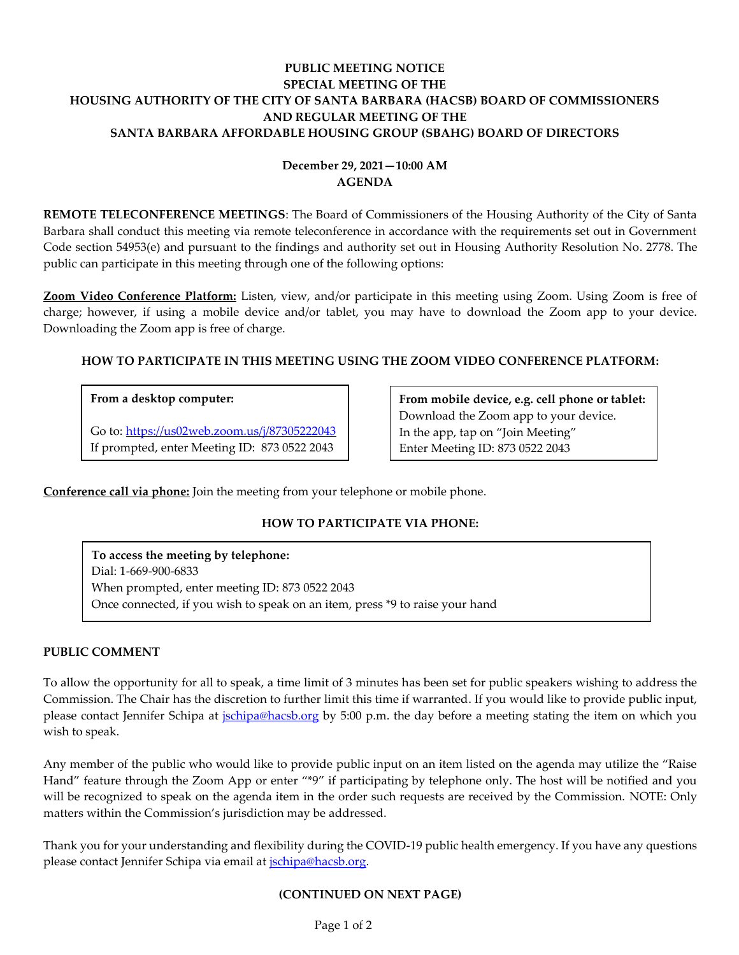## **PUBLIC MEETING NOTICE SPECIAL MEETING OF THE HOUSING AUTHORITY OF THE CITY OF SANTA BARBARA (HACSB) BOARD OF COMMISSIONERS AND REGULAR MEETING OF THE SANTA BARBARA AFFORDABLE HOUSING GROUP (SBAHG) BOARD OF DIRECTORS**

# **December 29, 2021—10:00 AM AGENDA**

**REMOTE TELECONFERENCE MEETINGS**: The Board of Commissioners of the Housing Authority of the City of Santa Barbara shall conduct this meeting via remote teleconference in accordance with the requirements set out in Government Code section 54953(e) and pursuant to the findings and authority set out in Housing Authority Resolution No. 2778. The public can participate in this meeting through one of the following options:

**Zoom Video Conference Platform:** Listen, view, and/or participate in this meeting using Zoom. Using Zoom is free of charge; however, if using a mobile device and/or tablet, you may have to download the Zoom app to your device. Downloading the Zoom app is free of charge.

### **HOW TO PARTICIPATE IN THIS MEETING USING THE ZOOM VIDEO CONFERENCE PLATFORM:**

### **From a desktop computer:**

Go to:<https://us02web.zoom.us/j/87305222043> If prompted, enter Meeting ID: 873 0522 2043

**From mobile device, e.g. cell phone or tablet:** Download the Zoom app to your device. In the app, tap on "Join Meeting" Enter Meeting ID: 873 0522 2043

**Conference call via phone:** Join the meeting from your telephone or mobile phone.

# **HOW TO PARTICIPATE VIA PHONE:**

**To access the meeting by telephone:** Dial: 1-669-900-6833 When prompted, enter meeting ID: 873 0522 2043 Once connected, if you wish to speak on an item, press \*9 to raise your hand

### **PUBLIC COMMENT**

To allow the opportunity for all to speak, a time limit of 3 minutes has been set for public speakers wishing to address the Commission. The Chair has the discretion to further limit this time if warranted. If you would like to provide public input, please contact Jennifer Schipa at *jschipa@hacsb.org* by 5:00 p.m. the day before a meeting stating the item on which you wish to speak.

Any member of the public who would like to provide public input on an item listed on the agenda may utilize the "Raise Hand" feature through the Zoom App or enter "\*9" if participating by telephone only. The host will be notified and you will be recognized to speak on the agenda item in the order such requests are received by the Commission. NOTE: Only matters within the Commission's jurisdiction may be addressed.

Thank you for your understanding and flexibility during the COVID-19 public health emergency. If you have any questions please contact Jennifer Schipa via email at [jschipa@hacsb.org.](mailto:jschipa@hacsb.org)

### **(CONTINUED ON NEXT PAGE)**